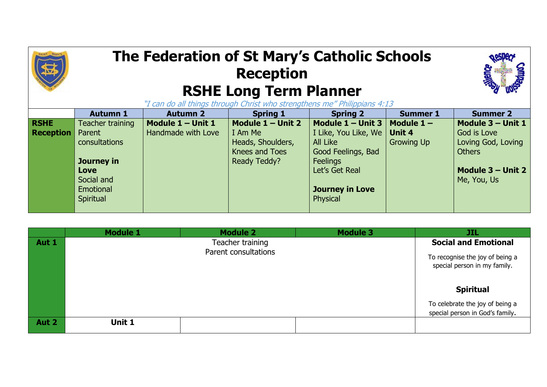## **The Federation of St Mary's Catholic Schools Reception RSHE Long Term Planner**



"I can do all things through Christ who strengthens me" Philippians 4:13

|                  | <b>Autumn 1</b>  | <b>Autumn 2</b>     | <b>Spring 1</b>     | <b>Spring 2</b>        | <b>Summer 1</b>   | <b>Summer 2</b>     |
|------------------|------------------|---------------------|---------------------|------------------------|-------------------|---------------------|
| <b>RSHE</b>      | Teacher training | Module $1 -$ Unit 1 | Module $1 -$ Unit 2 | Module $1 -$ Unit 3    | Module $1 -$      | Module 3 - Unit 1   |
| <b>Reception</b> | Parent           | Handmade with Love  | I Am Me             | I Like, You Like, We   | Unit 4            | God is Love         |
|                  | consultations    |                     | Heads, Shoulders,   | All Like               | <b>Growing Up</b> | Loving God, Loving  |
|                  |                  |                     | Knees and Toes      | Good Feelings, Bad     |                   | <b>Others</b>       |
|                  | Journey in       |                     | Ready Teddy?        | <b>Feelings</b>        |                   |                     |
|                  | Love             |                     |                     | Let's Get Real         |                   | Module $3 -$ Unit 2 |
|                  | Social and       |                     |                     |                        |                   | Me, You, Us         |
|                  | Emotional        |                     |                     | <b>Journey in Love</b> |                   |                     |
|                  | Spiritual        |                     |                     | Physical               |                   |                     |
|                  |                  |                     |                     |                        |                   |                     |

|       | <b>Module 1</b> | <b>Module 2</b>      | <b>Module 3</b> | JIL                                                             |
|-------|-----------------|----------------------|-----------------|-----------------------------------------------------------------|
| Aut 1 |                 | Teacher training     |                 | <b>Social and Emotional</b>                                     |
|       |                 | Parent consultations |                 | To recognise the joy of being a<br>special person in my family. |
|       |                 |                      |                 | <b>Spiritual</b>                                                |
|       |                 |                      |                 | To celebrate the joy of being a                                 |
|       |                 |                      |                 | special person in God's family.                                 |
| Aut 2 | Unit 1          |                      |                 |                                                                 |
|       |                 |                      |                 |                                                                 |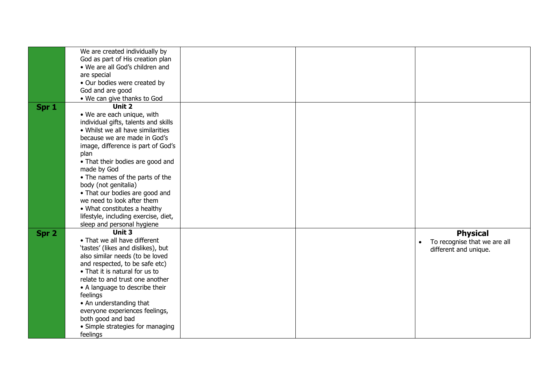|       | We are created individually by       |  |                              |
|-------|--------------------------------------|--|------------------------------|
|       |                                      |  |                              |
|       | God as part of His creation plan     |  |                              |
|       | • We are all God's children and      |  |                              |
|       | are special                          |  |                              |
|       | · Our bodies were created by         |  |                              |
|       | God and are good                     |  |                              |
|       | • We can give thanks to God          |  |                              |
| Spr 1 | Unit 2                               |  |                              |
|       | • We are each unique, with           |  |                              |
|       | individual gifts, talents and skills |  |                              |
|       | • Whilst we all have similarities    |  |                              |
|       | because we are made in God's         |  |                              |
|       | image, difference is part of God's   |  |                              |
|       |                                      |  |                              |
|       | plan                                 |  |                              |
|       | • That their bodies are good and     |  |                              |
|       | made by God                          |  |                              |
|       | • The names of the parts of the      |  |                              |
|       | body (not genitalia)                 |  |                              |
|       | • That our bodies are good and       |  |                              |
|       | we need to look after them           |  |                              |
|       | • What constitutes a healthy         |  |                              |
|       | lifestyle, including exercise, diet, |  |                              |
|       | sleep and personal hygiene           |  |                              |
| Spr 2 | Unit 3                               |  | <b>Physical</b>              |
|       | • That we all have different         |  | To recognise that we are all |
|       | 'tastes' (likes and dislikes), but   |  | different and unique.        |
|       | also similar needs (to be loved      |  |                              |
|       | and respected, to be safe etc)       |  |                              |
|       | • That it is natural for us to       |  |                              |
|       | relate to and trust one another      |  |                              |
|       | • A language to describe their       |  |                              |
|       | feelings                             |  |                              |
|       | • An understanding that              |  |                              |
|       |                                      |  |                              |
|       | everyone experiences feelings,       |  |                              |
|       | both good and bad                    |  |                              |
|       | • Simple strategies for managing     |  |                              |
|       | feelings                             |  |                              |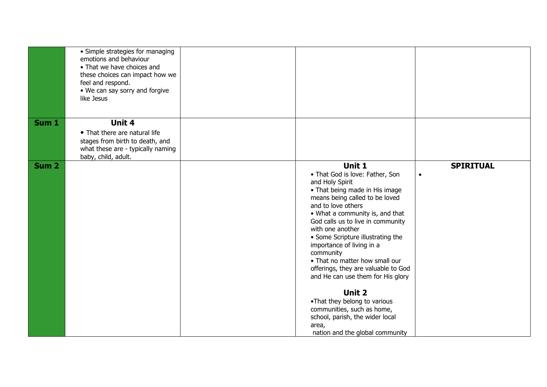|                  | • Simple strategies for managing<br>emotions and behaviour<br>• That we have choices and<br>these choices can impact how we<br>feel and respond.<br>• We can say sorry and forgive<br>like Jesus |                                                                                                                                                                                                                                                                                                                                                                                                                                                                                                                                                                                                        |                               |
|------------------|--------------------------------------------------------------------------------------------------------------------------------------------------------------------------------------------------|--------------------------------------------------------------------------------------------------------------------------------------------------------------------------------------------------------------------------------------------------------------------------------------------------------------------------------------------------------------------------------------------------------------------------------------------------------------------------------------------------------------------------------------------------------------------------------------------------------|-------------------------------|
| Sum 1            | Unit 4<br>• That there are natural life<br>stages from birth to death, and<br>what these are - typically naming<br>baby, child, adult.                                                           |                                                                                                                                                                                                                                                                                                                                                                                                                                                                                                                                                                                                        |                               |
| Sum <sub>2</sub> |                                                                                                                                                                                                  | Unit 1<br>• That God is love: Father, Son<br>and Holy Spirit<br>• That being made in His image<br>means being called to be loved<br>and to love others<br>• What a community is, and that<br>God calls us to live in community<br>with one another<br>• Some Scripture illustrating the<br>importance of living in a<br>community<br>• That no matter how small our<br>offerings, they are valuable to God<br>and He can use them for His glory<br>Unit 2<br>•That they belong to various<br>communities, such as home,<br>school, parish, the wider local<br>area,<br>nation and the global community | <b>SPIRITUAL</b><br>$\bullet$ |